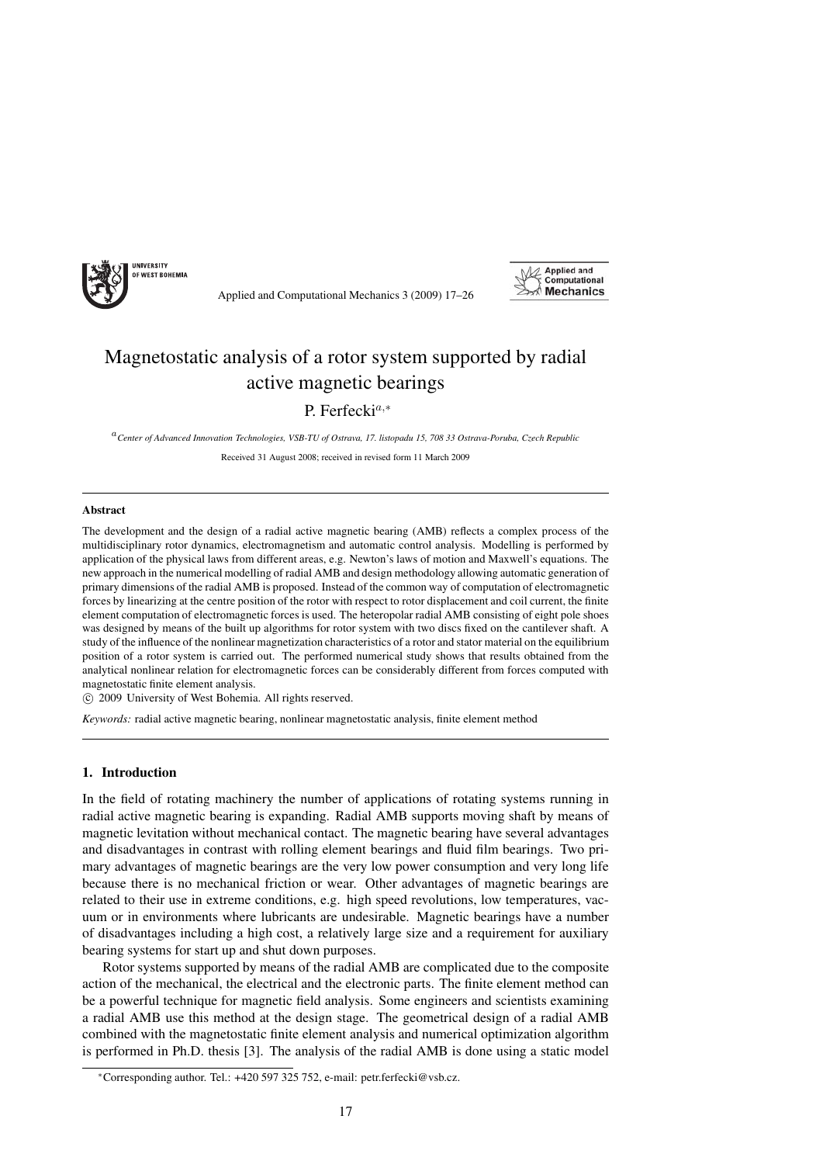



# Magnetostatic analysis of a rotor system supported by radial active magnetic bearings

# P. Ferfecki<sup>a,∗</sup>

<sup>a</sup>*Center of Advanced Innovation Technologies, VSB-TU of Ostrava, 17. listopadu 15, 708 33 Ostrava-Poruba, Czech Republic*

Received 31 August 2008; received in revised form 11 March 2009

#### Abstract

The development and the design of a radial active magnetic bearing (AMB) reflects a complex process of the multidisciplinary rotor dynamics, electromagnetism and automatic control analysis. Modelling is performed by application of the physical laws from different areas, e.g. Newton's laws of motion and Maxwell's equations. The new approach in the numerical modelling of radial AMB and design methodology allowing automatic generation of primary dimensions of the radial AMB is proposed. Instead of the common way of computation of electromagnetic forces by linearizing at the centre position of the rotor with respect to rotor displacement and coil current, the finite element computation of electromagnetic forces is used. The heteropolar radial AMB consisting of eight pole shoes was designed by means of the built up algorithms for rotor system with two discs fixed on the cantilever shaft. A study of the influence of the nonlinear magnetization characteristics of a rotor and stator material on the equilibrium position of a rotor system is carried out. The performed numerical study shows that results obtained from the analytical nonlinear relation for electromagnetic forces can be considerably different from forces computed with magnetostatic finite element analysis.

c 2009 University of West Bohemia. All rights reserved.

*Keywords:* radial active magnetic bearing, nonlinear magnetostatic analysis, finite element method

# 1. Introduction

In the field of rotating machinery the number of applications of rotating systems running in radial active magnetic bearing is expanding. Radial AMB supports moving shaft by means of magnetic levitation without mechanical contact. The magnetic bearing have several advantages and disadvantages in contrast with rolling element bearings and fluid film bearings. Two primary advantages of magnetic bearings are the very low power consumption and very long life because there is no mechanical friction or wear. Other advantages of magnetic bearings are related to their use in extreme conditions, e.g. high speed revolutions, low temperatures, vacuum or in environments where lubricants are undesirable. Magnetic bearings have a number of disadvantages including a high cost, a relatively large size and a requirement for auxiliary bearing systems for start up and shut down purposes.

Rotor systems supported by means of the radial AMB are complicated due to the composite action of the mechanical, the electrical and the electronic parts. The finite element method can be a powerful technique for magnetic field analysis. Some engineers and scientists examining a radial AMB use this method at the design stage. The geometrical design of a radial AMB combined with the magnetostatic finite element analysis and numerical optimization algorithm is performed in Ph.D. thesis [3]. The analysis of the radial AMB is done using a static model

<sup>∗</sup>Corresponding author. Tel.: +420 597 325 752, e-mail: petr.ferfecki@vsb.cz.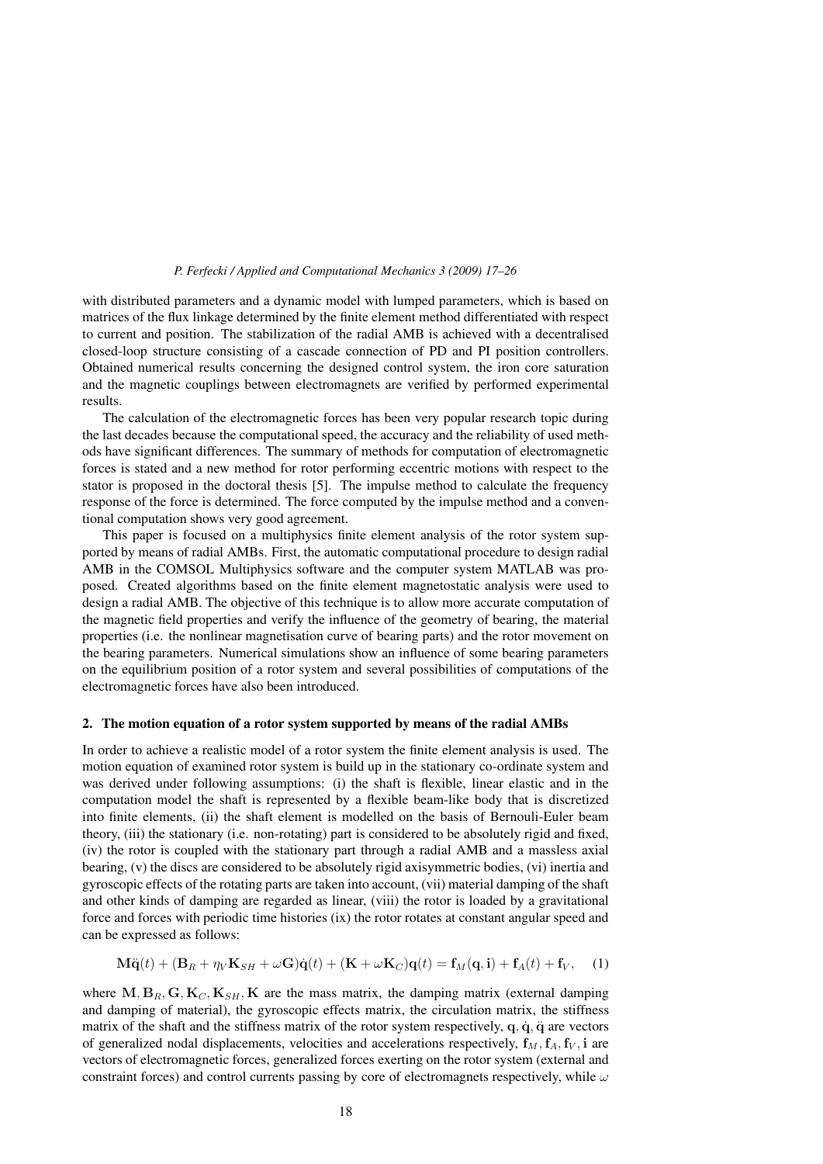with distributed parameters and a dynamic model with lumped parameters, which is based on matrices of the flux linkage determined by the finite element method differentiated with respect to current and position. The stabilization of the radial AMB is achieved with a decentralised closed-loop structure consisting of a cascade connection of PD and PI position controllers. Obtained numerical results concerning the designed control system, the iron core saturation and the magnetic couplings between electromagnets are verified by performed experimental results.

The calculation of the electromagnetic forces has been very popular research topic during the last decades because the computational speed, the accuracy and the reliability of used methods have significant differences. The summary of methods for computation of electromagnetic forces is stated and a new method for rotor performing eccentric motions with respect to the stator is proposed in the doctoral thesis [5]. The impulse method to calculate the frequency response of the force is determined. The force computed by the impulse method and a conventional computation shows very good agreement.

This paper is focused on a multiphysics finite element analysis of the rotor system supported by means of radial AMBs. First, the automatic computational procedure to design radial AMB in the COMSOL Multiphysics software and the computer system MATLAB was proposed. Created algorithms based on the finite element magnetostatic analysis were used to design a radial AMB. The objective of this technique is to allow more accurate computation of the magnetic field properties and verify the influence of the geometry of bearing, the material properties (i.e. the nonlinear magnetisation curve of bearing parts) and the rotor movement on the bearing parameters. Numerical simulations show an influence of some bearing parameters on the equilibrium position of a rotor system and several possibilities of computations of the electromagnetic forces have also been introduced.

#### 2. The motion equation of a rotor system supported by means of the radial AMBs

In order to achieve a realistic model of a rotor system the finite element analysis is used. The motion equation of examined rotor system is build up in the stationary co-ordinate system and was derived under following assumptions: (i) the shaft is flexible, linear elastic and in the computation model the shaft is represented by a flexible beam-like body that is discretized into finite elements, (ii) the shaft element is modelled on the basis of Bernouli-Euler beam theory, (iii) the stationary (i.e. non-rotating) part is considered to be absolutely rigid and fixed, (iv) the rotor is coupled with the stationary part through a radial AMB and a massless axial bearing, (v) the discs are considered to be absolutely rigid axisymmetric bodies, (vi) inertia and gyroscopic effects of the rotating parts are taken into account, (vii) material damping of the shaft and other kinds of damping are regarded as linear, (viii) the rotor is loaded by a gravitational force and forces with periodic time histories (ix) the rotor rotates at constant angular speed and can be expressed as follows:

$$
\mathbf{M}\ddot{\mathbf{q}}(t) + (\mathbf{B}_R + \eta_V \mathbf{K}_{SH} + \omega \mathbf{G})\dot{\mathbf{q}}(t) + (\mathbf{K} + \omega \mathbf{K}_C)\mathbf{q}(t) = \mathbf{f}_M(\mathbf{q}, \mathbf{i}) + \mathbf{f}_A(t) + \mathbf{f}_V, \quad (1)
$$

where  $M, B_R, G, K_C, K_{SH}, K$  are the mass matrix, the damping matrix (external damping and damping of material), the gyroscopic effects matrix, the circulation matrix, the stiffness matrix of the shaft and the stiffness matrix of the rotor system respectively,  $q$ ,  $\dot{q}$ ,  $\ddot{q}$  are vectors of generalized nodal displacements, velocities and accelerations respectively,  $\mathbf{f}_M$ ,  $\mathbf{f}_A$ ,  $\mathbf{f}_V$ ,  $\mathbf{i}$  are vectors of electromagnetic forces, generalized forces exerting on the rotor system (external and constraint forces) and control currents passing by core of electromagnets respectively, while  $\omega$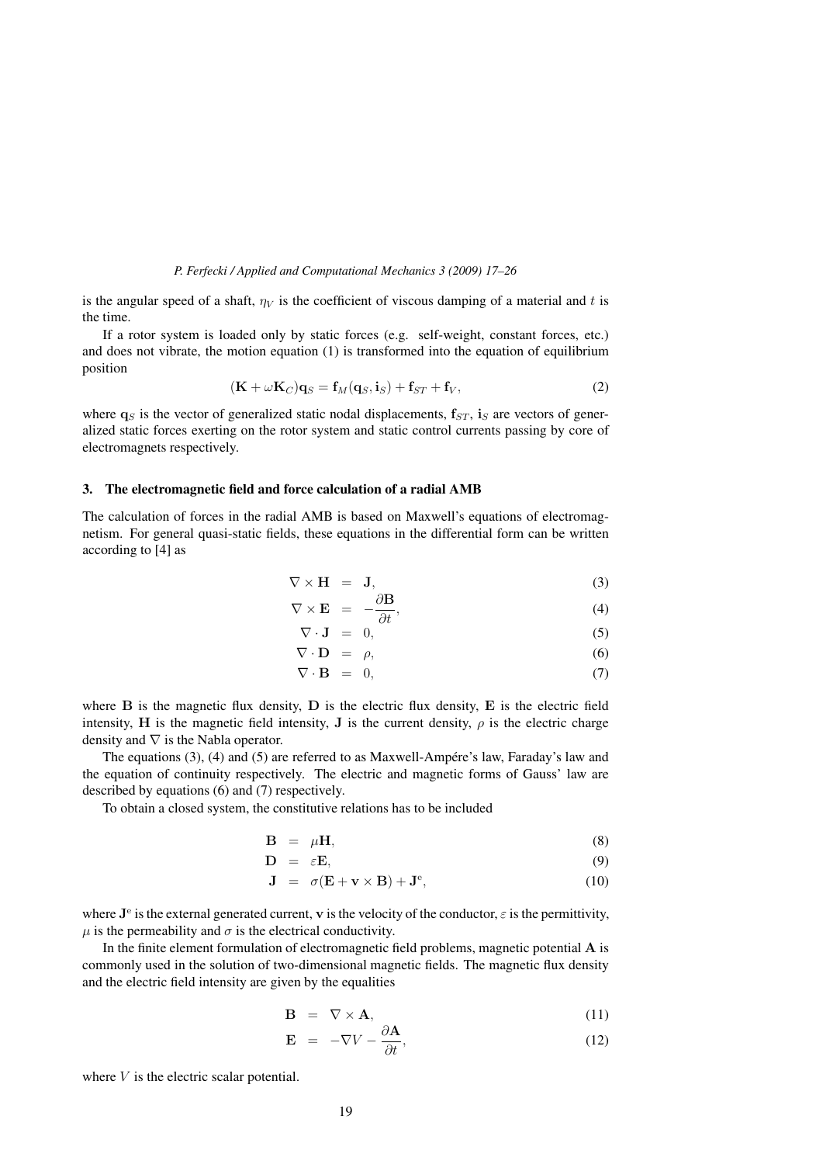is the angular speed of a shaft,  $\eta_V$  is the coefficient of viscous damping of a material and t is the time.

If a rotor system is loaded only by static forces (e.g. self-weight, constant forces, etc.) and does not vibrate, the motion equation  $(1)$  is transformed into the equation of equilibrium position

$$
(\mathbf{K} + \omega \mathbf{K}_C)\mathbf{q}_S = \mathbf{f}_M(\mathbf{q}_S, \mathbf{i}_S) + \mathbf{f}_{ST} + \mathbf{f}_V,\tag{2}
$$

where  $\mathbf{q}_S$  is the vector of generalized static nodal displacements,  $\mathbf{f}_{ST}$ ,  $\mathbf{i}_S$  are vectors of generalized static forces exerting on the rotor system and static control currents passing by core of electromagnets respectively.

#### 3. The electromagnetic field and force calculation of a radial AMB

The calculation of forces in the radial AMB is based on Maxwell's equations of electromagnetism. For general quasi-static fields, these equations in the differential form can be written according to [4] as

$$
\nabla \times \mathbf{H} = \mathbf{J},\tag{3}
$$

$$
\nabla \times \mathbf{E} = -\frac{\partial \mathbf{B}}{\partial t}, \tag{4}
$$

$$
\nabla \cdot \mathbf{J} = 0, \tag{5}
$$

$$
\nabla \cdot \mathbf{D} = \rho, \tag{6}
$$

$$
\nabla \cdot \mathbf{B} = 0, \tag{7}
$$

where **B** is the magnetic flux density, **D** is the electric flux density, **E** is the electric field intensity, **H** is the magnetic field intensity, **J** is the current density,  $\rho$  is the electric charge density and  $\nabla$  is the Nabla operator.

The equations  $(3)$ ,  $(4)$  and  $(5)$  are referred to as Maxwell-Ampére's law, Faraday's law and the equation of continuity respectively. The electric and magnetic forms of Gauss' law are described by equations (6) and (7) respectively.

To obtain a closed system, the constitutive relations has to be included

$$
\mathbf{B} = \mu \mathbf{H},\tag{8}
$$

$$
\mathbf{D} = \varepsilon \mathbf{E},\tag{9}
$$

$$
\mathbf{J} = \sigma(\mathbf{E} + \mathbf{v} \times \mathbf{B}) + \mathbf{J}^e, \tag{10}
$$

where  $J^e$  is the external generated current, **v** is the velocity of the conductor,  $\varepsilon$  is the permittivity,  $\mu$  is the permeability and  $\sigma$  is the electrical conductivity.

In the finite element formulation of electromagnetic field problems, magnetic potential **A** is commonly used in the solution of two-dimensional magnetic fields. The magnetic flux density and the electric field intensity are given by the equalities

$$
\mathbf{B} = \nabla \times \mathbf{A}, \tag{11}
$$

$$
\mathbf{E} = -\nabla V - \frac{\partial \mathbf{A}}{\partial t},\tag{12}
$$

where  $V$  is the electric scalar potential.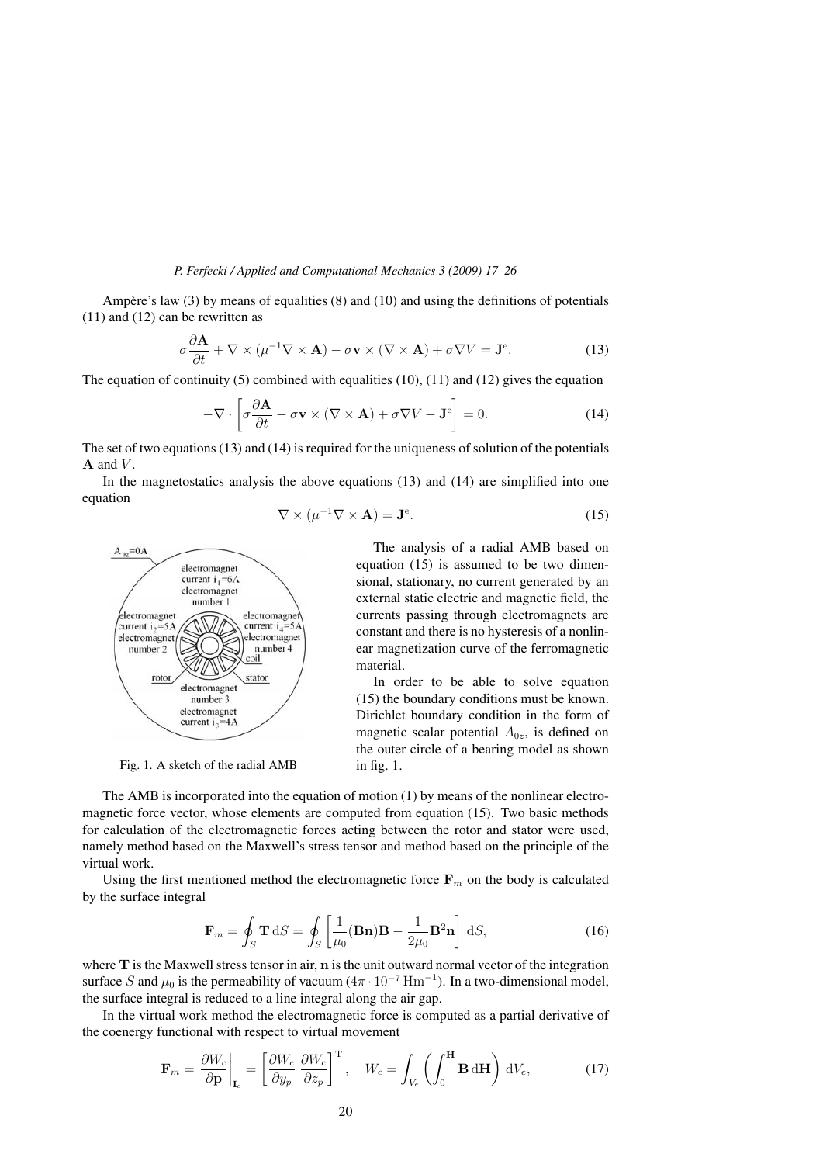Ampère's law  $(3)$  by means of equalities  $(8)$  and  $(10)$  and using the definitions of potentials (11) and (12) can be rewritten as

$$
\sigma \frac{\partial \mathbf{A}}{\partial t} + \nabla \times (\mu^{-1} \nabla \times \mathbf{A}) - \sigma \mathbf{v} \times (\nabla \times \mathbf{A}) + \sigma \nabla V = \mathbf{J}^e.
$$
 (13)

The equation of continuity  $(5)$  combined with equalities  $(10)$ ,  $(11)$  and  $(12)$  gives the equation

$$
-\nabla \cdot \left[\sigma \frac{\partial \mathbf{A}}{\partial t} - \sigma \mathbf{v} \times (\nabla \times \mathbf{A}) + \sigma \nabla V - \mathbf{J}^e \right] = 0. \tag{14}
$$

The set of two equations  $(13)$  and  $(14)$  is required for the uniqueness of solution of the potentials  $A$  and  $V$ .

In the magnetostatics analysis the above equations (13) and (14) are simplified into one equation

$$
\nabla \times (\mu^{-1} \nabla \times \mathbf{A}) = \mathbf{J}^e. \tag{15}
$$



Fig. 1. A sketch of the radial AMB

The analysis of a radial AMB based on equation (15) is assumed to be two dimensional, stationary, no current generated by an external static electric and magnetic field, the currents passing through electromagnets are constant and there is no hysteresis of a nonlinear magnetization curve of the ferromagnetic material.

In order to be able to solve equation (15) the boundary conditions must be known. Dirichlet boundary condition in the form of magnetic scalar potential  $A_{0z}$ , is defined on the outer circle of a bearing model as shown in fig. 1.

The AMB is incorporated into the equation of motion (1) by means of the nonlinear electromagnetic force vector, whose elements are computed from equation (15). Two basic methods for calculation of the electromagnetic forces acting between the rotor and stator were used, namely method based on the Maxwell's stress tensor and method based on the principle of the virtual work.

Using the first mentioned method the electromagnetic force  $\mathbf{F}_m$  on the body is calculated by the surface integral

$$
\mathbf{F}_m = \oint_S \mathbf{T} \, \mathrm{d}S = \oint_S \left[ \frac{1}{\mu_0} (\mathbf{B} \mathbf{n}) \mathbf{B} - \frac{1}{2\mu_0} \mathbf{B}^2 \mathbf{n} \right] \, \mathrm{d}S,\tag{16}
$$

where **T** is the Maxwell stress tensor in air, **n** is the unit outward normal vector of the integration surface S and  $\mu_0$  is the permeability of vacuum  $(4\pi \cdot 10^{-7} \,\mathrm{Hm^{-1}})$ . In a two-dimensional model, the surface integral is reduced to a line integral along the air gap.

In the virtual work method the electromagnetic force is computed as a partial derivative of the coenergy functional with respect to virtual movement

$$
\mathbf{F}_m = \frac{\partial W_c}{\partial \mathbf{p}}\bigg|_{\mathbf{I}_c} = \left[\frac{\partial W_c}{\partial y_p} \frac{\partial W_c}{\partial z_p}\right]^{\mathrm{T}}, \quad W_c = \int_{V_e} \left(\int_0^{\mathbf{H}} \mathbf{B} \, \mathrm{d}\mathbf{H}\right) \, \mathrm{d}V_e,\tag{17}
$$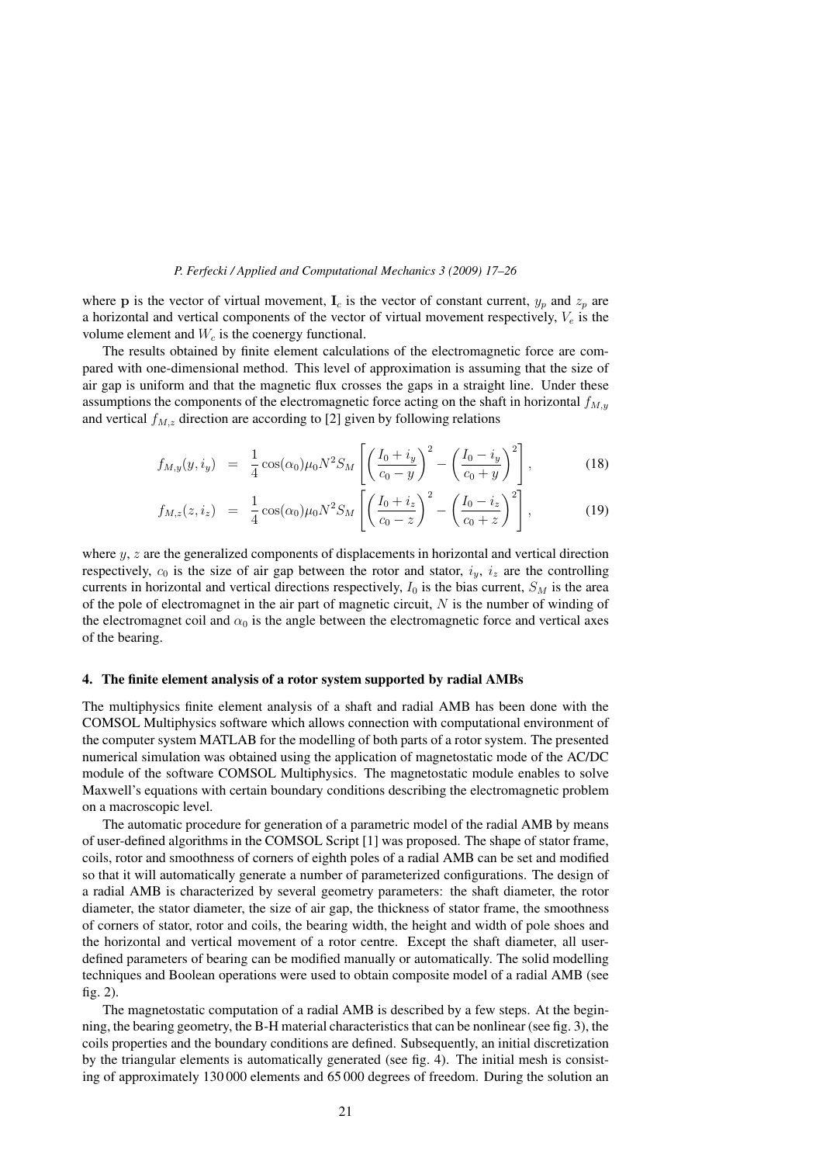where **p** is the vector of virtual movement,  $I_c$  is the vector of constant current,  $y_p$  and  $z_p$  are a horizontal and vertical components of the vector of virtual movement respectively,  $V_e$  is the volume element and  $W_c$  is the coenergy functional.

The results obtained by finite element calculations of the electromagnetic force are compared with one-dimensional method. This level of approximation is assuming that the size of air gap is uniform and that the magnetic flux crosses the gaps in a straight line. Under these assumptions the components of the electromagnetic force acting on the shaft in horizontal  $f_{M,y}$ and vertical  $f_{M,z}$  direction are according to [2] given by following relations

$$
f_{M,y}(y,i_y) = \frac{1}{4}\cos(\alpha_0)\mu_0 N^2 S_M \left[ \left( \frac{I_0 + i_y}{c_0 - y} \right)^2 - \left( \frac{I_0 - i_y}{c_0 + y} \right)^2 \right],
$$
 (18)

$$
f_{M,z}(z, i_z) = \frac{1}{4} \cos(\alpha_0) \mu_0 N^2 S_M \left[ \left( \frac{I_0 + i_z}{c_0 - z} \right)^2 - \left( \frac{I_0 - i_z}{c_0 + z} \right)^2 \right],
$$
 (19)

where  $y$ ,  $z$  are the generalized components of displacements in horizontal and vertical direction respectively,  $c_0$  is the size of air gap between the rotor and stator,  $i_y$ ,  $i_z$  are the controlling currents in horizontal and vertical directions respectively,  $I_0$  is the bias current,  $S_M$  is the area of the pole of electromagnet in the air part of magnetic circuit,  $N$  is the number of winding of the electromagnet coil and  $\alpha_0$  is the angle between the electromagnetic force and vertical axes of the bearing.

#### 4. The finite element analysis of a rotor system supported by radial AMBs

The multiphysics finite element analysis of a shaft and radial AMB has been done with the COMSOL Multiphysics software which allows connection with computational environment of the computer system MATLAB for the modelling of both parts of a rotor system. The presented numerical simulation was obtained using the application of magnetostatic mode of the AC/DC module of the software COMSOL Multiphysics. The magnetostatic module enables to solve Maxwell's equations with certain boundary conditions describing the electromagnetic problem on a macroscopic level.

The automatic procedure for generation of a parametric model of the radial AMB by means of user-defined algorithms in the COMSOL Script [1] was proposed. The shape of stator frame, coils, rotor and smoothness of corners of eighth poles of a radial AMB can be set and modified so that it will automatically generate a number of parameterized configurations. The design of a radial AMB is characterized by several geometry parameters: the shaft diameter, the rotor diameter, the stator diameter, the size of air gap, the thickness of stator frame, the smoothness of corners of stator, rotor and coils, the bearing width, the height and width of pole shoes and the horizontal and vertical movement of a rotor centre. Except the shaft diameter, all userdefined parameters of bearing can be modified manually or automatically. The solid modelling techniques and Boolean operations were used to obtain composite model of a radial AMB (see fig. 2).

The magnetostatic computation of a radial AMB is described by a few steps. At the beginning, the bearing geometry, the B-H material characteristics that can be nonlinear (see fig. 3), the coils properties and the boundary conditions are defined. Subsequently, an initial discretization by the triangular elements is automatically generated (see fig. 4). The initial mesh is consisting of approximately 130 000 elements and 65 000 degrees of freedom. During the solution an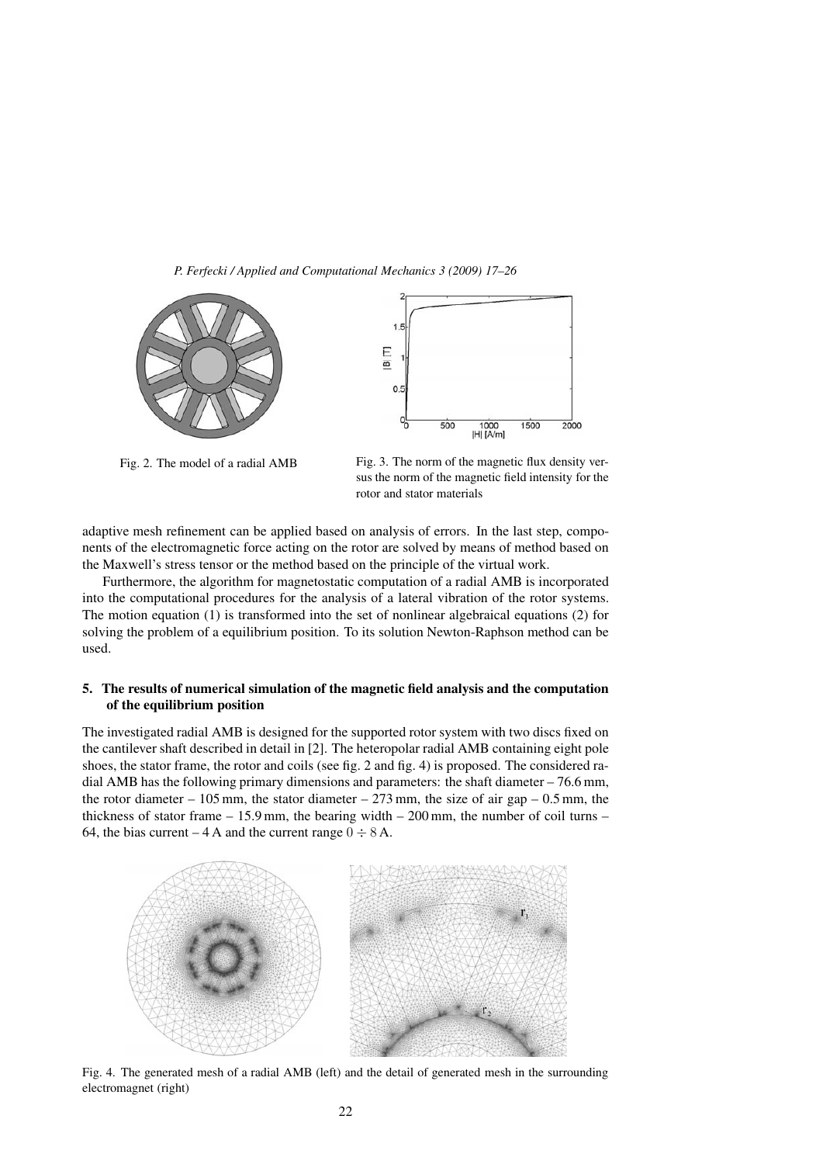



Fig. 2. The model of a radial AMB Fig. 3. The norm of the magnetic flux density versus the norm of the magnetic field intensity for the rotor and stator materials

adaptive mesh refinement can be applied based on analysis of errors. In the last step, components of the electromagnetic force acting on the rotor are solved by means of method based on the Maxwell's stress tensor or the method based on the principle of the virtual work.

Furthermore, the algorithm for magnetostatic computation of a radial AMB is incorporated into the computational procedures for the analysis of a lateral vibration of the rotor systems. The motion equation (1) is transformed into the set of nonlinear algebraical equations (2) for solving the problem of a equilibrium position. To its solution Newton-Raphson method can be used.

# 5. The results of numerical simulation of the magnetic field analysis and the computation of the equilibrium position

The investigated radial AMB is designed for the supported rotor system with two discs fixed on the cantilever shaft described in detail in [2]. The heteropolar radial AMB containing eight pole shoes, the stator frame, the rotor and coils (see fig. 2 and fig. 4) is proposed. The considered radial AMB has the following primary dimensions and parameters: the shaft diameter  $-76.6$  mm, the rotor diameter – 105 mm, the stator diameter – 273 mm, the size of air gap – 0.5 mm, the thickness of stator frame  $-15.9$  mm, the bearing width  $-200$  mm, the number of coil turns  $-$ 64, the bias current – 4 A and the current range  $0 \div 8$  A.



Fig. 4. The generated mesh of a radial AMB (left) and the detail of generated mesh in the surrounding electromagnet (right)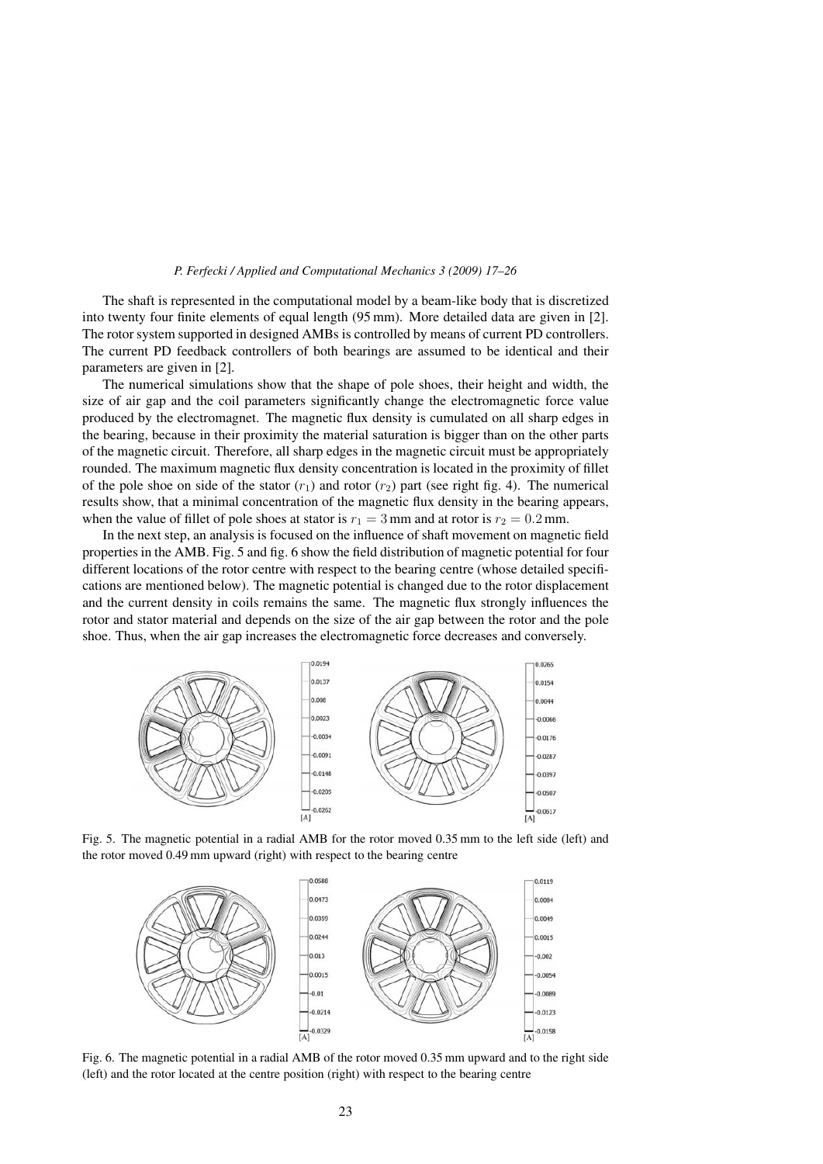The shaft is represented in the computational model by a beam-like body that is discretized into twenty four finite elements of equal length (95 mm). More detailed data are given in [2]. The rotor system supported in designed AMBs is controlled by means of current PD controllers. The current PD feedback controllers of both bearings are assumed to be identical and their parameters are given in [2].

The numerical simulations show that the shape of pole shoes, their height and width, the size of air gap and the coil parameters significantly change the electromagnetic force value produced by the electromagnet. The magnetic flux density is cumulated on all sharp edges in the bearing, because in their proximity the material saturation is bigger than on the other parts of the magnetic circuit. Therefore, all sharp edges in the magnetic circuit must be appropriately rounded. The maximum magnetic flux density concentration is located in the proximity of fillet of the pole shoe on side of the stator  $(r_1)$  and rotor  $(r_2)$  part (see right fig. 4). The numerical results show, that a minimal concentration of the magnetic flux density in the bearing appears, when the value of fillet of pole shoes at stator is  $r_1 = 3$  mm and at rotor is  $r_2 = 0.2$  mm.

In the next step, an analysis is focused on the influence of shaft movement on magnetic field properties in the AMB. Fig. 5 and fig. 6 show the field distribution of magnetic potential for four different locations of the rotor centre with respect to the bearing centre (whose detailed specifications are mentioned below). The magnetic potential is changed due to the rotor displacement and the current density in coils remains the same. The magnetic flux strongly influences the rotor and stator material and depends on the size of the air gap between the rotor and the pole shoe. Thus, when the air gap increases the electromagnetic force decreases and conversely.



Fig. 5. The magnetic potential in a radial AMB for the rotor moved 0.35 mm to the left side (left) and the rotor moved 0.49 mm upward (right) with respect to the bearing centre



Fig. 6. The magnetic potential in a radial AMB of the rotor moved 0.35 mm upward and to the right side (left) and the rotor located at the centre position (right) with respect to the bearing centre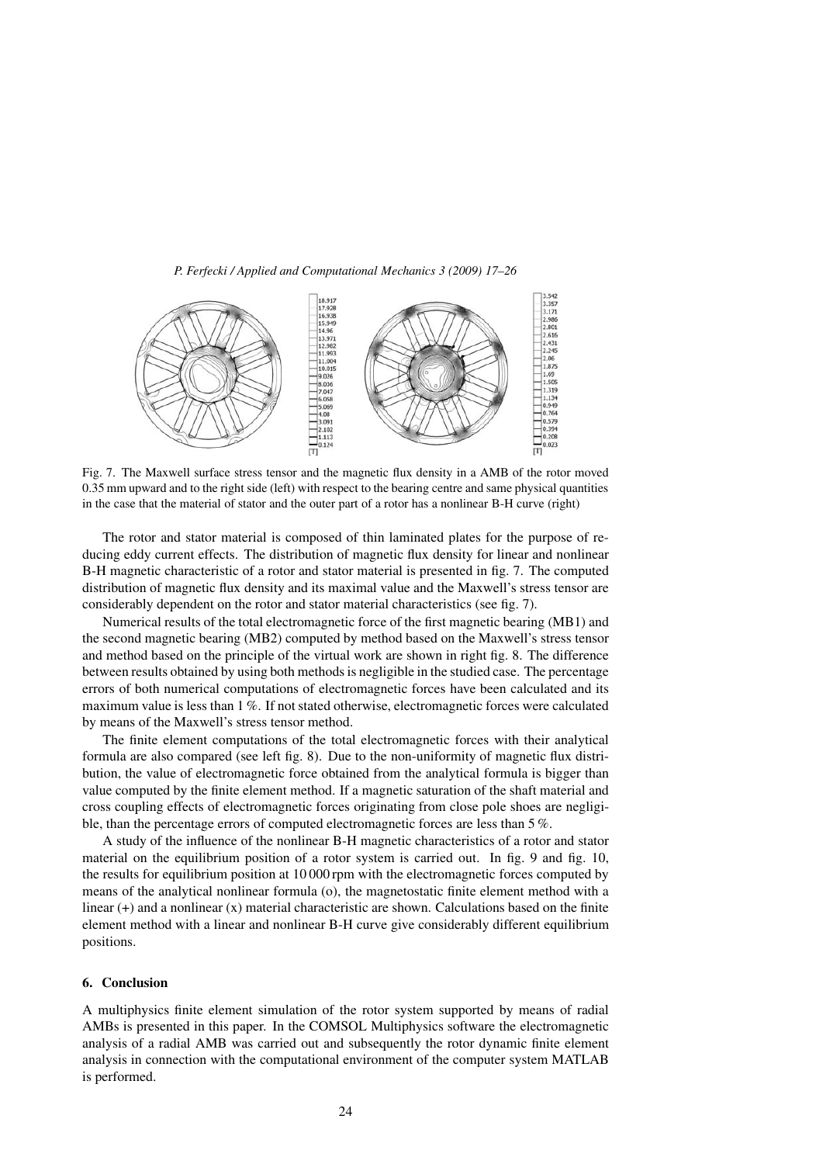

Fig. 7. The Maxwell surface stress tensor and the magnetic flux density in a AMB of the rotor moved 0.35 mm upward and to the right side (left) with respect to the bearing centre and same physical quantities in the case that the material of stator and the outer part of a rotor has a nonlinear B-H curve (right)

The rotor and stator material is composed of thin laminated plates for the purpose of reducing eddy current effects. The distribution of magnetic flux density for linear and nonlinear B-H magnetic characteristic of a rotor and stator material is presented in fig. 7. The computed distribution of magnetic flux density and its maximal value and the Maxwell's stress tensor are considerably dependent on the rotor and stator material characteristics (see fig. 7).

Numerical results of the total electromagnetic force of the first magnetic bearing (MB1) and the second magnetic bearing (MB2) computed by method based on the Maxwell's stress tensor and method based on the principle of the virtual work are shown in right fig. 8. The difference between results obtained by using both methods is negligible in the studied case. The percentage errors of both numerical computations of electromagnetic forces have been calculated and its maximum value is less than 1 %. If not stated otherwise, electromagnetic forces were calculated by means of the Maxwell's stress tensor method.

The finite element computations of the total electromagnetic forces with their analytical formula are also compared (see left fig. 8). Due to the non-uniformity of magnetic flux distribution, the value of electromagnetic force obtained from the analytical formula is bigger than value computed by the finite element method. If a magnetic saturation of the shaft material and cross coupling effects of electromagnetic forces originating from close pole shoes are negligible, than the percentage errors of computed electromagnetic forces are less than 5 %.

A study of the influence of the nonlinear B-H magnetic characteristics of a rotor and stator material on the equilibrium position of a rotor system is carried out. In fig. 9 and fig. 10, the results for equilibrium position at 10 000 rpm with the electromagnetic forces computed by means of the analytical nonlinear formula (o), the magnetostatic finite element method with a linear  $(+)$  and a nonlinear  $(x)$  material characteristic are shown. Calculations based on the finite element method with a linear and nonlinear B-H curve give considerably different equilibrium positions.

# 6. Conclusion

A multiphysics finite element simulation of the rotor system supported by means of radial AMBs is presented in this paper. In the COMSOL Multiphysics software the electromagnetic analysis of a radial AMB was carried out and subsequently the rotor dynamic finite element analysis in connection with the computational environment of the computer system MATLAB is performed.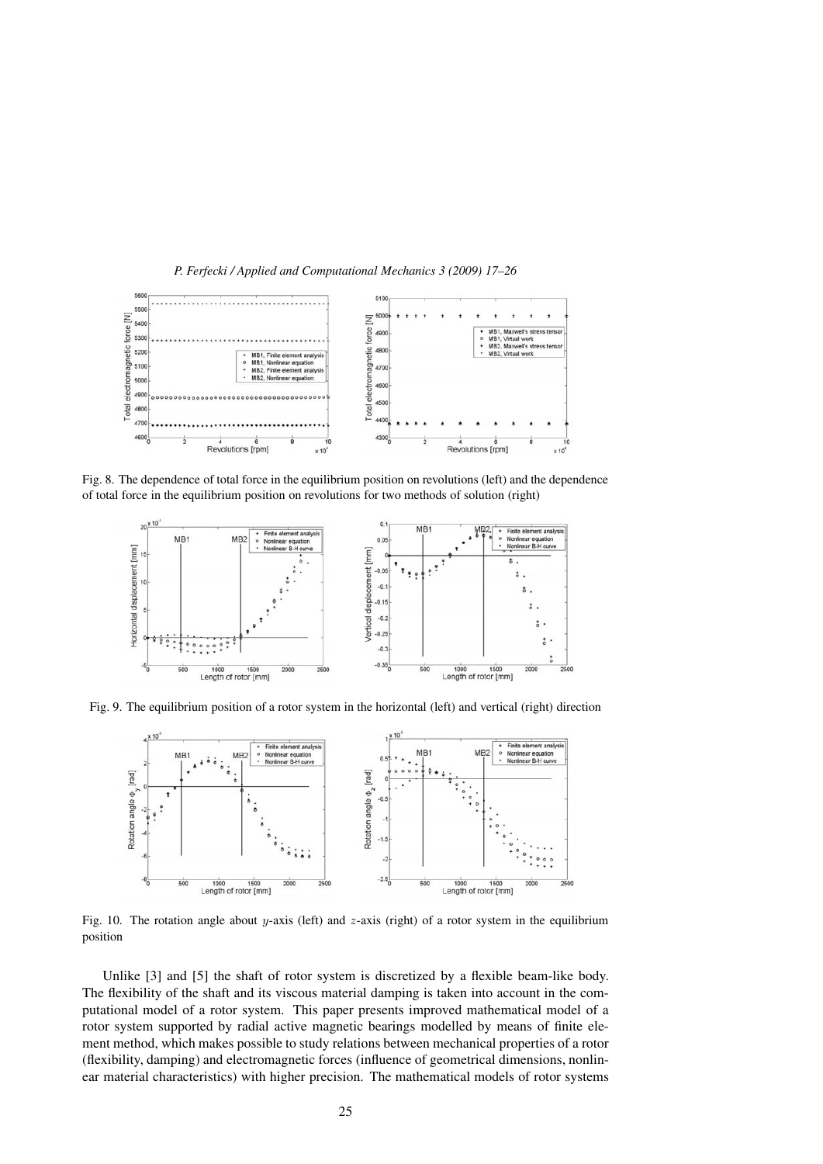

Fig. 8. The dependence of total force in the equilibrium position on revolutions (left) and the dependence of total force in the equilibrium position on revolutions for two methods of solution (right)



Fig. 9. The equilibrium position of a rotor system in the horizontal (left) and vertical (right) direction



Fig. 10. The rotation angle about y-axis (left) and z-axis (right) of a rotor system in the equilibrium position

Unlike [3] and [5] the shaft of rotor system is discretized by a flexible beam-like body. The flexibility of the shaft and its viscous material damping is taken into account in the computational model of a rotor system. This paper presents improved mathematical model of a rotor system supported by radial active magnetic bearings modelled by means of finite element method, which makes possible to study relations between mechanical properties of a rotor (flexibility, damping) and electromagnetic forces (influence of geometrical dimensions, nonlinear material characteristics) with higher precision. The mathematical models of rotor systems